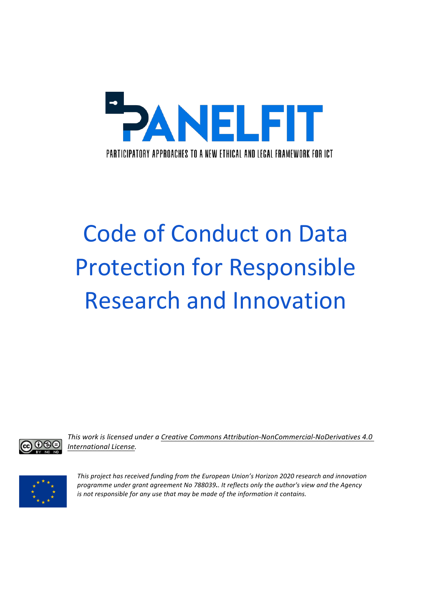

# **Code of Conduct on Data Protection for Responsible Research and Innovation**

This work is licensed under a Creative Commons Attribution-NonCommercial-NoDerivatives 4.0 *International License.*



This project has received funding from the European Union's Horizon 2020 research and innovation *programme under grant agreement No 788039.. It reflects only the author's view and the Agency is* not responsible for any use that may be made of the information it contains.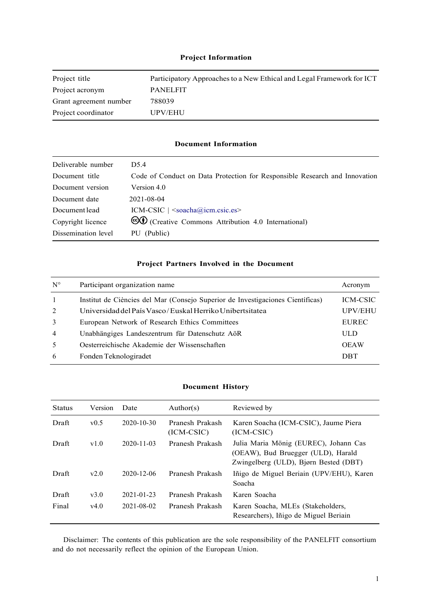#### **Project Information**

| Project title          | Participatory Approaches to a New Ethical and Legal Framework for ICT |
|------------------------|-----------------------------------------------------------------------|
| Project acronym        | <b>PANELEIT</b>                                                       |
| Grant agreement number | 788039                                                                |
| Project coordinator    | UPV/EHU                                                               |

#### **Document Information**

| Deliverable number  | D <sub>5.4</sub>                                                           |
|---------------------|----------------------------------------------------------------------------|
| Document title      | Code of Conduct on Data Protection for Responsible Research and Innovation |
| Document version    | Version 4.0                                                                |
| Document date       | 2021-08-04                                                                 |
| Document lead       | $ICM-CSIC$   $\leq$ soacha@icm.csic.es>                                    |
| Copyright licence   | ©① (Creative Commons Attribution 4.0 International)                        |
| Dissemination level | PU (Public)                                                                |

#### **Project Partners Involved in the Document**

| $N^{\circ}$    | Participant organization name                                                  | Acronym         |
|----------------|--------------------------------------------------------------------------------|-----------------|
| $\overline{1}$ | Institut de Ciències del Mar (Consejo Superior de Investigaciones Científicas) | <b>ICM-CSIC</b> |
| 2              | Universidad del País Vasco/Euskal Herriko Unibertsitatea                       | <b>UPV/EHU</b>  |
| 3              | European Network of Research Ethics Committees                                 | <b>EUREC</b>    |
| $\overline{4}$ | Unabhängiges Landeszentrum für Datenschutz AöR                                 | <b>ULD</b>      |
| 5              | Oesterreichische Akademie der Wissenschaften                                   | <b>OEAW</b>     |
| 6              | Fonden Teknologiradet                                                          | <b>DBT</b>      |

#### **Document History**

| <b>Status</b> | Version | Date             | Author(s)                       | Reviewed by                                                                                                          |
|---------------|---------|------------------|---------------------------------|----------------------------------------------------------------------------------------------------------------------|
| Draft         | v0.5    | $2020 - 10 - 30$ | Pranesh Prakash<br>$(ICM-CSIC)$ | Karen Soacha (ICM-CSIC), Jaume Piera<br>$(ICM-CSIC)$                                                                 |
| Draft         | v1.0    | $2020 - 11 - 03$ | Pranesh Prakash                 | Julia Maria Mönig (EUREC), Johann Cas<br>(OEAW), Bud Bruegger (ULD), Harald<br>Zwingelberg (ULD), Bjørn Bested (DBT) |
| Draft         | v2.0    | 2020-12-06       | Pranesh Prakash                 | Iñigo de Miguel Beriain (UPV/EHU), Karen<br>Soacha                                                                   |
| Draft         | v3.0    | 2021-01-23       | Pranesh Prakash                 | Karen Soacha                                                                                                         |
| Final         | v4.0    | 2021-08-02       | Pranesh Prakash                 | Karen Soacha, MLEs (Stakeholders,<br>Researchers), Iñigo de Miguel Beriain                                           |

Disclaimer: The contents of this publication are the sole responsibility of the PANELFIT consortium and do not necessarily reflect the opinion of the European Union.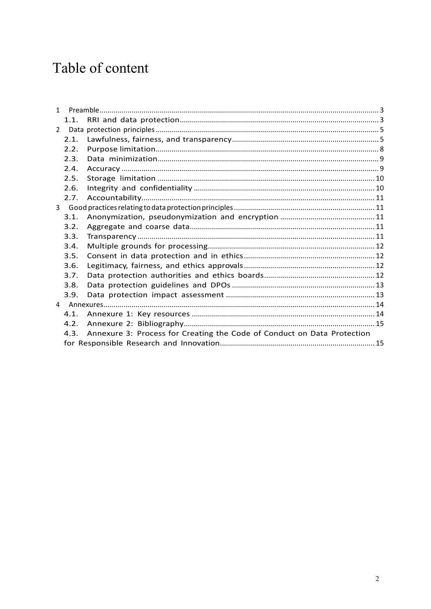# Table of content

| $\mathbf{1}$   |      |                                                                              |  |  |  |
|----------------|------|------------------------------------------------------------------------------|--|--|--|
|                | 1.1. |                                                                              |  |  |  |
| $\mathbf{2}$   |      |                                                                              |  |  |  |
|                | 2.1. |                                                                              |  |  |  |
|                | 2.2. |                                                                              |  |  |  |
|                | 2.3. |                                                                              |  |  |  |
|                | 2.4. |                                                                              |  |  |  |
|                | 2.5. |                                                                              |  |  |  |
|                | 2.6. |                                                                              |  |  |  |
|                | 2.7. |                                                                              |  |  |  |
| 3 <sup>1</sup> |      |                                                                              |  |  |  |
|                | 3.1. |                                                                              |  |  |  |
|                | 3.2. |                                                                              |  |  |  |
|                | 3.3. |                                                                              |  |  |  |
|                | 3.4. |                                                                              |  |  |  |
|                | 3.5. |                                                                              |  |  |  |
|                | 3.6. |                                                                              |  |  |  |
|                | 3.7. |                                                                              |  |  |  |
|                | 3.8. |                                                                              |  |  |  |
|                | 3.9. |                                                                              |  |  |  |
|                |      |                                                                              |  |  |  |
|                | 4.1. |                                                                              |  |  |  |
|                | 4.2. |                                                                              |  |  |  |
|                |      | 4.3. Annexure 3: Process for Creating the Code of Conduct on Data Protection |  |  |  |
|                |      |                                                                              |  |  |  |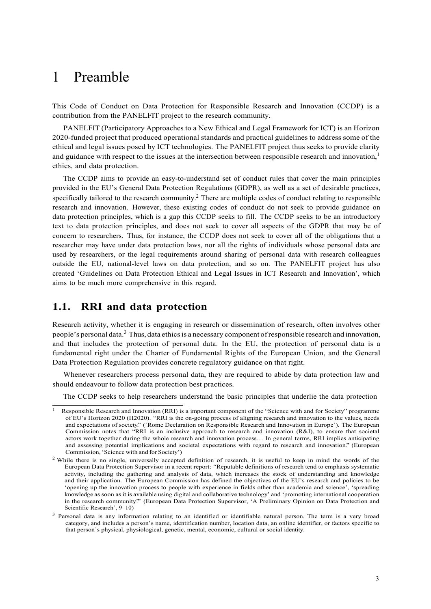# 1 Preamble

This Code of Conduct on Data Protection for Responsible Research and Innovation (CCDP) is a contribution from the PANELFIT project to the research community.

PANELFIT (Participatory Approaches to a New Ethical and Legal Framework for ICT) is an Horizon 2020-funded project that produced operational standards and practical guidelines to address some of the ethical and legal issues posed by ICT technologies. The PANELFIT project thus seeks to provide clarity and guidance with respect to the issues at the intersection between responsible research and innovation.<sup>1</sup> ethics, and data protection.

The CCDP aims to provide an easy-to-understand set of conduct rules that cover the main principles provided in the EU's General Data Protection Regulations (GDPR), as well as a set of desirable practices, specifically tailored to the research community.<sup>2</sup> There are multiple codes of conduct relating to responsible research and innovation. However, these existing codes of conduct do not seek to provide guidance on data protection principles, which is a gap this CCDP seeks to fill. The CCDP seeks to be an introductory text to data protection principles, and does not seek to cover all aspects of the GDPR that may be of concern to researchers. Thus, for instance, the CCDP does not seek to cover all of the obligations that a researcher may have under data protection laws, nor all the rights of individuals whose personal data are used by researchers, or the legal requirements around sharing of personal data with research colleagues outside the EU, national-level laws on data protection, and so on. The PANELFIT project has also created 'Guidelines on Data Protection Ethical and Legal Issues in ICT Research and Innovation', which aims to be much more comprehensive in this regard.

# **1.1. RRI and data protection**

Research activity, whether it is engaging in research or dissemination of research, often involves other people's personal data.3 Thus, data ethicsis a necessary component ofresponsible research and innovation, and that includes the protection of personal data. In the EU, the protection of personal data is a fundamental right under the Charter of Fundamental Rights of the European Union, and the General Data Protection Regulation provides concrete regulatory guidance on that right.

Whenever researchers process personal data, they are required to abide by data protection law and should endeavour to follow data protection best practices.

The CCDP seeks to help researchers understand the basic principles that underlie the data protection

Responsible Research and Innovation (RRI) is a important component of the "Science with and for Society" programme of EU's Horizon 2020 (H2020). "RRI is the on-going process of aligning research and innovation to the values, needs and expectations of society." ('Rome Declaration on Responsible Research and Innovation in Europe'). The European Commission notes that "RRI is an inclusive approach to research and innovation (R&I), to ensure that societal actors work together during the whole research and innovation process… In general terms, RRI implies anticipating and assessing potential implications and societal expectations with regard to research and innovation." (European Commission,'Science with and for Society')

<sup>&</sup>lt;sup>2</sup> While there is no single, universally accepted definition of research, it is useful to keep in mind the words of the European Data Protection Supervisor in a recent report: "Reputable definitions of research tend to emphasis systematic activity, including the gathering and analysis of data, which increases the stock of understanding and knowledge and their application. The European Commission has defined the objectives of the EU's research and policies to be 'opening up the innovation process to people with experience in fields other than academia and science', 'spreading knowledge as soon as it is available using digital and collaborative technology' and 'promoting international cooperation in the research community". (European Data Protection Supervisor, 'A Preliminary Opinion on Data Protection and Scientific Research', 9–10)

<sup>&</sup>lt;sup>3</sup> Personal data is any information relating to an identified or identifiable natural person. The term is a very broad category, and includes a person's name, identification number, location data, an online identifier, or factors specific to that person's physical, physiological, genetic, mental, economic, cultural or social identity.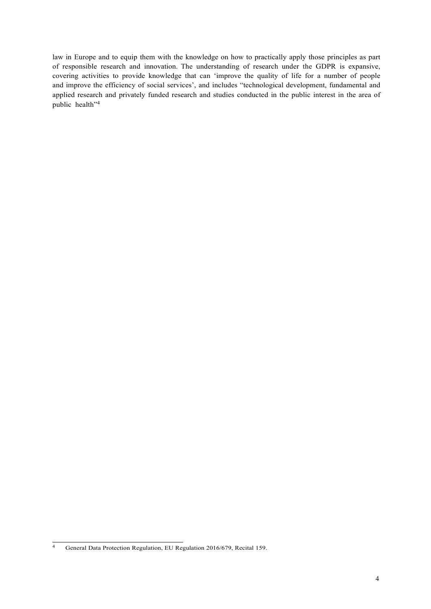law in Europe and to equip them with the knowledge on how to practically apply those principles as part of responsible research and innovation. The understanding of research under the GDPR is expansive, covering activities to provide knowledge that can 'improve the quality of life for a number of people and improve the efficiency of social services', and includes "technological development, fundamental and applied research and privately funded research and studies conducted in the public interest in the area of public health"<sup>4</sup>

<sup>&</sup>lt;sup>4</sup> General Data Protection Regulation, EU Regulation 2016/679, Recital 159.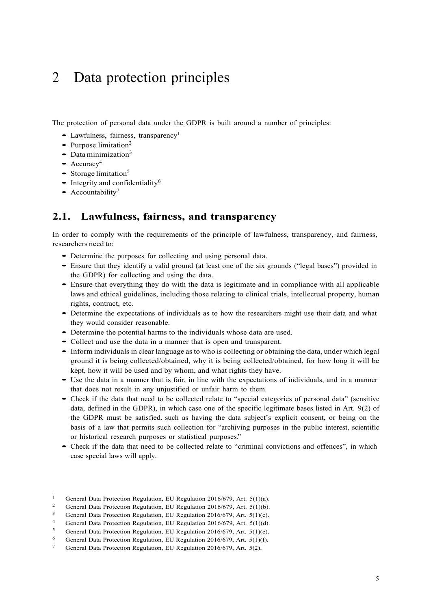# 2 Data protection principles

The protection of personal data under the GDPR is built around a number of principles:

- Lawfulness, fairness, transparency<sup>1</sup>
- Purpose limitation<sup>2</sup>
- $\bullet$  Data minimization<sup>3</sup>
- $\bullet$  Accuracy<sup>4</sup>
- Storage limitation<sup>5</sup>
- Integrity and confidentiality<sup>6</sup>
- Accountability<sup>7</sup>

# **2.1. Lawfulness, fairness, and transparency**

In order to comply with the requirements of the principle of lawfulness, transparency, and fairness, researchers need to:

- Determine the purposes for collecting and using personal data.
- Ensure that they identify <sup>a</sup> valid ground (at least one of the six grounds ("legal bases") provided in the GDPR) for collecting and using the data.
- Ensure that everything they do with the data is legitimate and in compliance with all applicable laws and ethical guidelines, including those relating to clinical trials, intellectual property, human rights, contract, etc.
- Determine the expectations of individuals as to how the researchers might use their data and what they would consider reasonable.
- Determine the potential harms to the individuals whose data are used.
- Collect and use the data in <sup>a</sup> manner that is open and transparent.
- Inform individuals in clear language asto who is collecting or obtaining the data, under which legal ground it is being collected/obtained, why it is being collected/obtained, for how long it will be kept, how it will be used and by whom, and what rights they have.
- Use the data in <sup>a</sup> manner that is fair, in line with the expectations of individuals, and in <sup>a</sup> manner that does not result in any unjustified or unfair harm to them.
- Check if the data that need to be collected relate to "special categories of personal data" (sensitive data, defined in the GDPR), in which case one of the specific legitimate bases listed in Art. 9(2) of the GDPR must be satisfied. such as having the data subject's explicit consent, or being on the basis of a law that permits such collection for "archiving purposes in the public interest, scientific or historical research purposes or statistical purposes."
- Check if the data that need to be collected relate to "criminal convictions and offences", in which case special laws will apply.

<sup>&</sup>lt;sup>1</sup> General Data Protection Regulation, EU Regulation 2016/679, Art. 5(1)(a).

<sup>&</sup>lt;sup>2</sup> General Data Protection Regulation, EU Regulation 2016/679, Art. 5(1)(b).<br><sup>3</sup> Ceneral Data Protection Regulation, EU Regulation 2016/679, Art. 5(1)(c).

<sup>&</sup>lt;sup>3</sup> General Data Protection Regulation, EU Regulation 2016/679, Art. 5(1)(c).<br><sup>4</sup> General Data Protection Regulation, EU Regulation 2016/679, Art. 5(1)(d)

<sup>&</sup>lt;sup>4</sup> General Data Protection Regulation, EU Regulation 2016/679, Art. 5(1)(d).<br>5. Concel Data Protection Regulation, EU Regulation 2016/679, Art. 5(1)(c).

<sup>&</sup>lt;sup>5</sup> General Data Protection Regulation, EU Regulation 2016/679, Art. 5(1)(e).<br><sup>6</sup> General Data Protection Regulation, EU Regulation 2016/679, Art. 5(1)(6)

<sup>6</sup> General Data Protection Regulation, EU Regulation 2016/679, Art. 5(1)(f).

General Data Protection Regulation, EU Regulation 2016/679, Art. 5(2).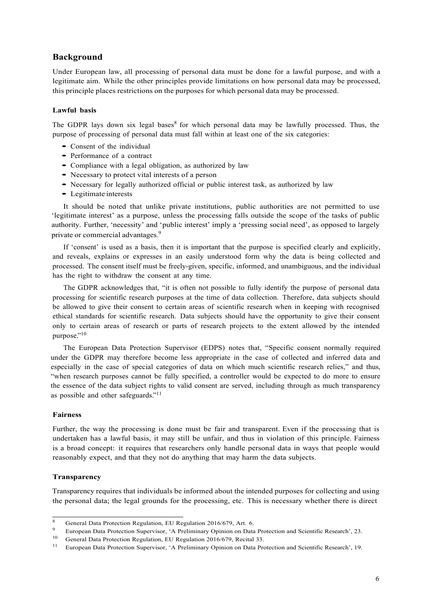#### **Background**

Under European law, all processing of personal data must be done for a lawful purpose, and with a legitimate aim. While the other principles provide limitations on how personal data may be processed, this principle places restrictions on the purposes for which personal data may be processed.

#### **Lawful basis**

The GDPR lays down six legal bases<sup>8</sup> for which personal data may be lawfully processed. Thus, the purpose of processing of personal data must fall within at least one of the six categories:

- Consent of the individual
- Performance of <sup>a</sup> contract
- Compliance with <sup>a</sup> legal obligation, as authorized by law
- Necessary to protect vital interests of a person
- Necessary for legally authorized official or public interest task, as authorized by law
- Legitimate interests

It should be noted that unlike private institutions, public authorities are not permitted to use 'legitimate interest' as a purpose, unless the processing falls outside the scope of the tasks of public authority. Further, 'necessity' and 'public interest' imply a 'pressing social need', as opposed to largely private or commercial advantages.9

If 'consent' is used as a basis, then it is important that the purpose is specified clearly and explicitly, and reveals, explains or expresses in an easily understood form why the data is being collected and processed. The consent itself must be freely-given, specific, informed, and unambiguous, and the individual has the right to withdraw the consent at any time.

The GDPR acknowledges that, "it is often not possible to fully identify the purpose of personal data processing for scientific research purposes at the time of data collection. Therefore, data subjects should be allowed to give their consent to certain areas of scientific research when in keeping with recognised ethical standards for scientific research. Data subjects should have the opportunity to give their consent only to certain areas of research or parts of research projects to the extent allowed by the intended purpose."10

The European Data Protection Supervisor (EDPS) notes that, "Specific consent normally required under the GDPR may therefore become less appropriate in the case of collected and inferred data and especially in the case of special categories of data on which much scientific research relies," and thus, "when research purposes cannot be fully specified, a controller would be expected to do more to ensure the essence of the data subject rights to valid consent are served, including through as much transparency as possible and other safeguards."<sup>11</sup>

#### **Fairness**

Further, the way the processing is done must be fair and transparent. Even if the processing that is undertaken has a lawful basis, it may still be unfair, and thus in violation of this principle. Fairness is a broad concept: it requires that researchers only handle personal data in ways that people would reasonably expect, and that they not do anything that may harm the data subjects.

#### **Transparency**

Transparency requires that individuals be informed about the intended purposes for collecting and using the personal data; the legal grounds for the processing, etc. This is necessary whether there is direct

<sup>8</sup> General Data Protection Regulation, EU Regulation 2016/679, Art. 6.

<sup>9</sup> European Data Protection Supervisor, 'A Preliminary Opinion on Data Protection and Scientific Research', 23.

<sup>&</sup>lt;sup>10</sup> General Data Protection Regulation, EU Regulation 2016/679, Recital 33.

<sup>&</sup>lt;sup>11</sup> European Data Protection Supervisor, 'A Preliminary Opinion on Data Protection and Scientific Research', 19.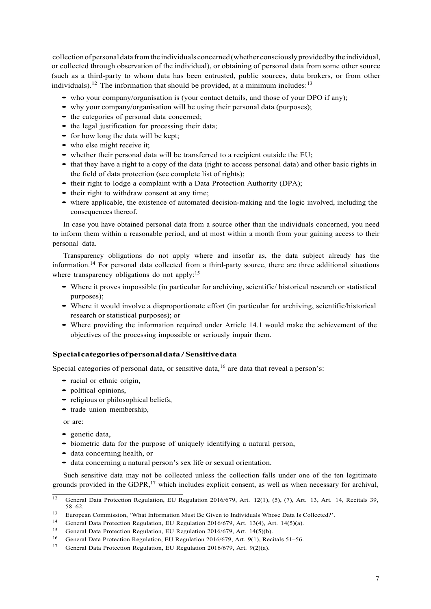collectionofpersonaldata fromthe individuals concerned(whether consciouslyprovidedbythe individual, or collected through observation of the individual), or obtaining of personal data from some other source (such as a third-party to whom data has been entrusted, public sources, data brokers, or from other individuals).<sup>12</sup> The information that should be provided, at a minimum includes:<sup>13</sup>

- who your company/organisation is (your contact details, and those of your DPO if any);
- why your company/organisation will be using their personal data (purposes);
- the categories of personal data concerned;
- the legal justification for processing their data;
- for how long the data will be kept;
- who else might receive it;
- whether their personal data will be transferred to a recipient outside the EU;
- that they have <sup>a</sup> right to <sup>a</sup> copy of the data (right to access personal data) and other basic rights in the field of data protection (see complete list of rights);
- their right to lodge <sup>a</sup> complaint with <sup>a</sup> Data Protection Authority (DPA);
- their right to withdraw consent at any time;
- where applicable, the existence of automated decision-making and the logic involved, including the consequences thereof.

In case you have obtained personal data from a source other than the individuals concerned, you need to inform them within a reasonable period, and at most within a month from your gaining access to their personal data.

Transparency obligations do not apply where and insofar as, the data subject already has the information.<sup>14</sup> For personal data collected from a third-party source, there are three additional situations where transparency obligations do not apply:<sup>15</sup>

- Where it proves impossible (in particular for archiving, scientific/ historical research or statistical purposes);
- Where it would involve <sup>a</sup> disproportionate effort (in particular for archiving, scientific/historical research or statistical purposes); or
- Where providing the information required under Article 14.1 would make the achievement of the objectives of the processing impossible or seriously impair them.

#### **Specialcategoriesofpersonaldata/Sensitivedata**

Special categories of personal data, or sensitive data,  $16$  are data that reveal a person's:

- racial or ethnic origin,
- political opinions,
- religious or philosophical beliefs,
- trade union membership,

or are:

- genetic data,
- biometric data for the purpose of uniquely identifying <sup>a</sup> natural person,
- data concerning health, or
- data concerning <sup>a</sup> natural person's sex life or sexual orientation.

Such sensitive data may not be collected unless the collection falls under one of the ten legitimate grounds provided in the GDPR, $^{17}$  which includes explicit consent, as well as when necessary for archival,

<sup>&</sup>lt;sup>12</sup> General Data Protection Regulation, EU Regulation 2016/679, Art. 12(1), (5), (7), Art. 13, Art. 14, Recitals 39, 58–62.

<sup>13</sup> European Commission, 'What Information Must Be Given to Individuals Whose Data Is Collected?'.

<sup>14</sup> General Data Protection Regulation, EU Regulation 2016/679, Art. 13(4), Art. 14(5)(a).

<sup>15</sup> General Data Protection Regulation, EU Regulation 2016/679, Art. 14(5)(b).

<sup>16</sup> General Data Protection Regulation, EU Regulation 2016/679, Art. 9(1), Recitals 51–56.

<sup>17</sup> General Data Protection Regulation, EU Regulation 2016/679, Art. 9(2)(a).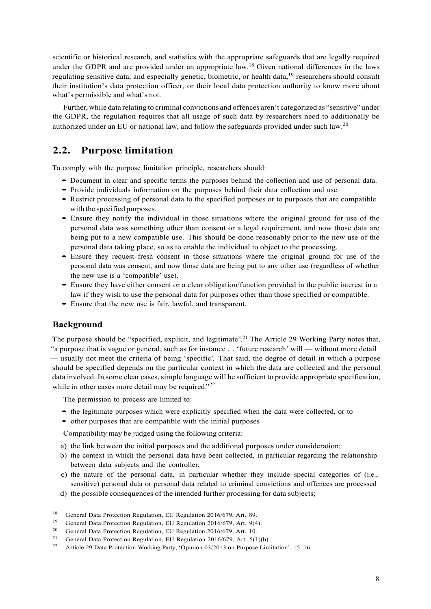scientific or historical research, and statistics with the appropriate safeguards that are legally required under the GDPR and are provided under an appropriate law.<sup>18</sup> Given national differences in the laws regulating sensitive data, and especially genetic, biometric, or health data,<sup>19</sup> researchers should consult their institution's data protection officer, or their local data protection authority to know more about what's permissible and what's not.

Further,while data relating to criminal convictions and offences aren't categorized as "sensitive" under the GDPR, the regulation requires that all usage of such data by researchers need to additionally be authorized under an EU or national law, and follow the safeguards provided under such law.20

# **2.2. Purpose limitation**

To comply with the purpose limitation principle, researchers should:

- Document in clear and specific terms the purposes behind the collection and use of personal data.
- Provide individuals information on the purposes behind their data collection and use.
- Restrict processing of personal data to the specified purposes or to purposes that are compatible with the specified purposes.
- Ensure they notify the individual in those situations where the original ground for use of the personal data was something other than consent or a legal requirement, and now those data are being put to a new compatible use. This should be done reasonably prior to the new use of the personal data taking place, so as to enable the individual to object to the processing.
- Ensure they request fresh consent in those situations where the original ground for use of the personal data was consent, and now those data are being put to any other use (regardless of whether the new use is a 'compatible' use).
- Ensure they have either consent or <sup>a</sup> clear obligation/function provided in the public interest in <sup>a</sup> law if they wish to use the personal data for purposes other than those specified or compatible.
- Ensure that the new use is fair, lawful, and transparent.

#### **Background**

The purpose should be "specified, explicit, and legitimate".<sup>21</sup> The Article 29 Working Party notes that, "a purpose that is vague or general, such as for instance … 'future research' will — without more detail — usually not meet the criteria of being 'specific'. That said, the degree of detail in which a purpose should be specified depends on the particular context in which the data are collected and the personal data involved. In some clear cases, simple language will be sufficient to provide appropriate specification, while in other cases more detail may be required."<sup>22</sup>

The permission to process are limited to:

- the legitimate purposes which were explicitly specified when the data were collected, or to
- other purposes that are compatible with the initial purposes

Compatibility may be judged using the following criteria:

- a) the link between the initial purposes and the additional purposes under consideration;
- b) the context in which the personal data have been collected, in particular regarding the relationship between data subjects and the controller;
- c) the nature of the personal data, in particular whether they include special categories of (i.e., sensitive) personal data or personal data related to criminal convictions and offences are processed
- d) the possible consequences of the intended further processing for data subjects;

<sup>&</sup>lt;sup>18</sup> General Data Protection Regulation, EU Regulation 2016/679, Art. 89.

<sup>19</sup> General Data Protection Regulation, EU Regulation 2016/679, Art. 9(4).

<sup>20</sup> General Data Protection Regulation, EU Regulation 2016/679, Art. 10.

<sup>&</sup>lt;sup>21</sup> General Data Protection Regulation, EU Regulation 2016/679, Art. 5(1)(b).

<sup>22</sup> Article 29 Data Protection Working Party, 'Opinion 03/2013 on Purpose Limitation', 15–16.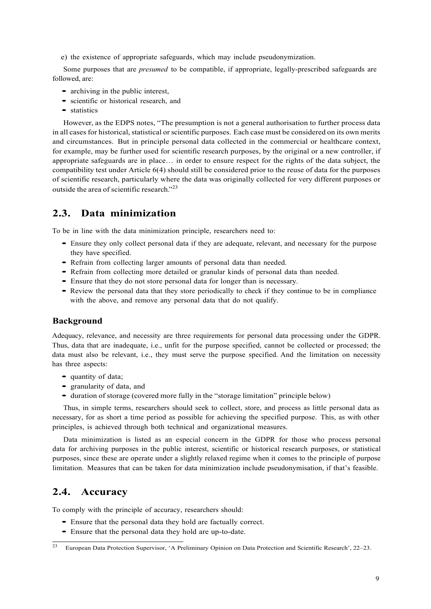e) the existence of appropriate safeguards, which may include pseudonymization.

Some purposes that are *presumed* to be compatible, if appropriate, legally-prescribed safeguards are followed, are:

- archiving in the public interest,
- scientific or historical research, and
- statistics

However, as the EDPS notes, "The presumption is not a general authorisation to further process data in all cases for historical, statistical or scientific purposes. Each case must be considered on its own merits and circumstances. But in principle personal data collected in the commercial or healthcare context, for example, may be further used for scientific research purposes, by the original or a new controller, if appropriate safeguards are in place… in order to ensure respect for the rights of the data subject, the compatibility test under Article 6(4) should still be considered prior to the reuse of data for the purposes of scientific research, particularly where the data was originally collected for very different purposes or outside the area of scientific research<sup> $"23$ </sup>

## **2.3. Data minimization**

To be in line with the data minimization principle, researchers need to:

- Ensure they only collect personal data if they are adequate, relevant, and necessary for the purpose they have specified.
- Refrain from collecting larger amounts of personal data than needed.
- Refrain from collecting more detailed or granular kinds of personal data than needed.
- Ensure that they do not store personal data for longer than is necessary.
- Review the personal data that they store periodically to check if they continue to be in compliance with the above, and remove any personal data that do not qualify.

#### **Background**

Adequacy, relevance, and necessity are three requirements for personal data processing under the GDPR. Thus, data that are inadequate, i.e., unfit for the purpose specified, cannot be collected or processed; the data must also be relevant, i.e., they must serve the purpose specified. And the limitation on necessity has three aspects:

- quantity of data;
- granularity of data, and
- duration of storage (covered more fully in the "storage limitation" principle below)

Thus, in simple terms, researchers should seek to collect, store, and process as little personal data as necessary, for as short a time period as possible for achieving the specified purpose. This, as with other principles, is achieved through both technical and organizational measures.

Data minimization is listed as an especial concern in the GDPR for those who process personal data for archiving purposes in the public interest, scientific or historical research purposes, or statistical purposes, since these are operate under a slightly relaxed regime when it comes to the principle of purpose limitation. Measures that can be taken for data minimization include pseudonymisation, if that's feasible.

# **2.4. Accuracy**

To comply with the principle of accuracy, researchers should:

- Ensure that the personal data they hold are factually correct.
- Ensure that the personal data they hold are up-to-date.

<sup>23</sup> European Data Protection Supervisor, 'A Preliminary Opinion on Data Protection and Scientific Research', 22–23.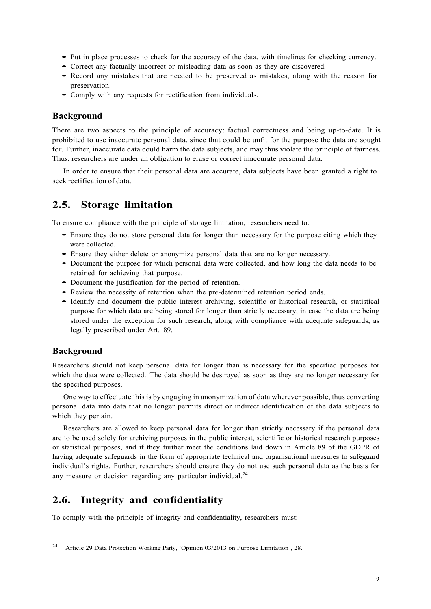- Put in place processes to check for the accuracy of the data, with timelines for checking currency.
- Correct any factually incorrect or misleading data as soon as they are discovered.
- Record any mistakes that are needed to be preserved as mistakes, along with the reason for preservation.
- Comply with any requests for rectification from individuals.

#### **Background**

There are two aspects to the principle of accuracy: factual correctness and being up-to-date. It is prohibited to use inaccurate personal data, since that could be unfit for the purpose the data are sought for. Further, inaccurate data could harm the data subjects, and may thus violate the principle of fairness. Thus, researchers are under an obligation to erase or correct inaccurate personal data.

In order to ensure that their personal data are accurate, data subjects have been granted a right to seek rectification of data.

# **2.5. Storage limitation**

To ensure compliance with the principle of storage limitation, researchers need to:

- Ensure they do not store personal data for longer than necessary for the purpose citing which they were collected.
- Ensure they either delete or anonymize personal data that are no longer necessary.
- Document the purpose for which personal data were collected, and how long the data needs to be retained for achieving that purpose.
- Document the justification for the period of retention.
- Review the necessity of retention when the pre-determined retention period ends.
- Identify and document the public interest archiving, scientific or historical research, or statistical purpose for which data are being stored for longer than strictly necessary, in case the data are being stored under the exception for such research, along with compliance with adequate safeguards, as legally prescribed under Art. 89.

#### **Background**

Researchers should not keep personal data for longer than is necessary for the specified purposes for which the data were collected. The data should be destroyed as soon as they are no longer necessary for the specified purposes.

One way to effectuate this is by engaging in anonymization of data wherever possible, thus converting personal data into data that no longer permits direct or indirect identification of the data subjects to which they pertain.

Researchers are allowed to keep personal data for longer than strictly necessary if the personal data are to be used solely for archiving purposes in the public interest, scientific or historical research purposes or statistical purposes, and if they further meet the conditions laid down in Article 89 of the GDPR of having adequate safeguards in the form of appropriate technical and organisational measures to safeguard individual's rights. Further, researchers should ensure they do not use such personal data as the basis for any measure or decision regarding any particular individual.<sup>24</sup>

# **2.6. Integrity and confidentiality**

To comply with the principle of integrity and confidentiality, researchers must:

<sup>24</sup> Article 29 Data Protection Working Party, 'Opinion 03/2013 on Purpose Limitation', 28.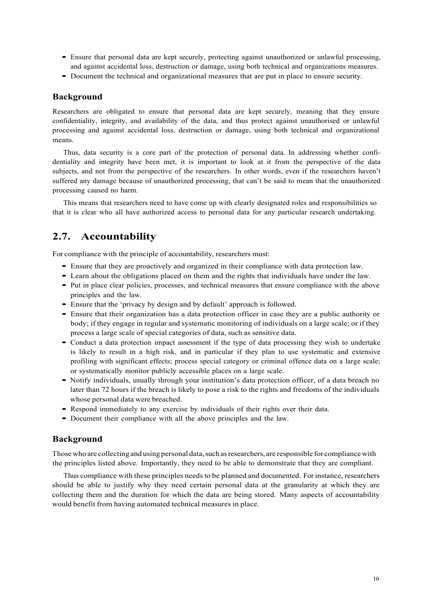- Ensure that personal data are kept securely, protecting against unauthorized or unlawful processing, and against accidental loss, destruction or damage, using both technical and organizations measures.
- Document the technical and organizational measures that are put in place to ensure security.

#### **Background**

Researchers are obligated to ensure that personal data are kept securely, meaning that they ensure confidentiality, integrity, and availability of the data, and thus protect against unauthorised or unlawful processing and against accidental loss, destruction or damage, using both technical and organizational means.

Thus, data security is a core part of the protection of personal data. In addressing whether confidentiality and integrity have been met, it is important to look at it from the perspective of the data subjects, and not from the perspective of the researchers. In other words, even if the researchers haven't suffered any damage because of unauthorized processing, that can't be said to mean that the unauthorized processing caused no harm.

This means that researchers need to have come up with clearly designated roles and responsibilities so that it is clear who all have authorized access to personal data for any particular research undertaking.

# **2.7. Accountability**

For compliance with the principle of accountability, researchers must:

- Ensure that they are proactively and organized in their compliance with data protection law.
- Learn about the obligations placed on them and the rights that individuals have under the law.
- Put in place clear policies, processes, and technical measures that ensure compliance with the above principles and the law.
- Ensure that the 'privacy by design and by default' approach is followed.
- Ensure that their organization has <sup>a</sup> data protection officer in case they are <sup>a</sup> public authority or body; if they engage in regular and systematic monitoring of individuals on a large scale; or if they process a large scale of special categories of data, such as sensitive data.
- Conduct <sup>a</sup> data protection impact assessment if the type of data processing they wish to undertake is likely to result in a high risk, and in particular if they plan to use systematic and extensive profiling with significant effects; process special category or criminal offence data on a large scale; or systematically monitor publicly accessible places on a large scale.
- Notify individuals, usually through your institution's data protection officer, of <sup>a</sup> data breach no later than 72 hours if the breach is likely to pose a risk to the rights and freedoms of the individuals whose personal data were breached.
- Respond immediately to any exercise by individuals of their rights over their data.
- Document their compliance with all the above principles and the law.

#### **Background**

Those who are collecting and using personal data, such as researchers, are responsible for compliance with the principles listed above. Importantly, they need to be able to demonstrate that they are compliant.

Thus compliance with these principles needs to be planned and documented. Forinstance, researchers should be able to justify why they need certain personal data at the granularity at which they are collecting them and the duration for which the data are being stored. Many aspects of accountability would benefit from having automated technical measures in place.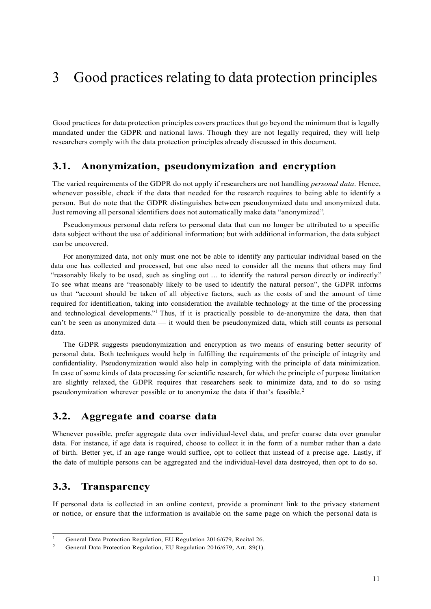# 3 Good practices relating to data protection principles

Good practices for data protection principles covers practices that go beyond the minimum that is legally mandated under the GDPR and national laws. Though they are not legally required, they will help researchers comply with the data protection principles already discussed in this document.

## **3.1. Anonymization, pseudonymization and encryption**

The varied requirements of the GDPR do not apply if researchers are not handling *personal data*. Hence, whenever possible, check if the data that needed for the research requires to being able to identify a person. But do note that the GDPR distinguishes between pseudonymized data and anonymized data. Just removing all personal identifiers does not automatically make data "anonymized".

Pseudonymous personal data refers to personal data that can no longer be attributed to a specific data subject without the use of additional information; but with additional information, the data subject can be uncovered.

For anonymized data, not only must one not be able to identify any particular individual based on the data one has collected and processed, but one also need to consider all the means that others may find "reasonably likely to be used, such as singling out … to identify the natural person directly or indirectly." To see what means are "reasonably likely to be used to identify the natural person", the GDPR informs us that "account should be taken of all objective factors, such as the costs of and the amount of time required for identification, taking into consideration the available technology at the time of the processing and technological developments."<sup>1</sup> Thus, if it is practically possible to de-anonymize the data, then that can't be seen as anonymized data — it would then be pseudonymized data, which still counts as personal data.

The GDPR suggests pseudonymization and encryption as two means of ensuring better security of personal data. Both techniques would help in fulfilling the requirements of the principle of integrity and confidentiality. Pseudonymization would also help in complying with the principle of data minimization. In case of some kinds of data processing for scientific research, for which the principle of purpose limitation are slightly relaxed, the GDPR requires that researchers seek to minimize data, and to do so using pseudonymization wherever possible or to anonymize the data if that's feasible.<sup>2</sup>

## **3.2. Aggregate and coarse data**

Whenever possible, prefer aggregate data over individual-level data, and prefer coarse data over granular data. For instance, if age data is required, choose to collect it in the form of a number rather than a date of birth. Better yet, if an age range would suffice, opt to collect that instead of a precise age. Lastly, if the date of multiple persons can be aggregated and the individual-level data destroyed, then opt to do so.

# **3.3. Transparency**

If personal data is collected in an online context, provide a prominent link to the privacy statement or notice, or ensure that the information is available on the same page on which the personal data is

<sup>&</sup>lt;sup>1</sup> General Data Protection Regulation, EU Regulation 2016/679, Recital 26.

<sup>&</sup>lt;sup>2</sup> General Data Protection Regulation, EU Regulation 2016/679, Art. 89(1).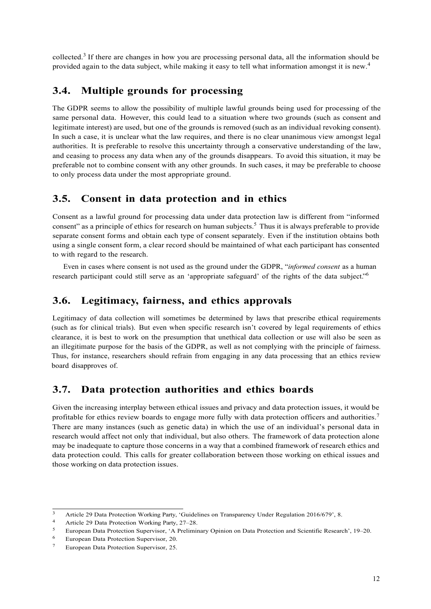collected.3 If there are changes in how you are processing personal data, all the information should be provided again to the data subject, while making it easy to tell what information amongst it is new.4

# **3.4. Multiple grounds for processing**

The GDPR seems to allow the possibility of multiple lawful grounds being used for processing of the same personal data. However, this could lead to a situation where two grounds (such as consent and legitimate interest) are used, but one of the grounds is removed (such as an individual revoking consent). In such a case, it is unclear what the law requires, and there is no clear unanimous view amongst legal authorities. It is preferable to resolve this uncertainty through a conservative understanding of the law, and ceasing to process any data when any of the grounds disappears. To avoid this situation, it may be preferable not to combine consent with any other grounds. In such cases, it may be preferable to choose to only process data under the most appropriate ground.

# **3.5. Consent in data protection and in ethics**

Consent as a lawful ground for processing data under data protection law is different from "informed consent" as a principle of ethics for research on human subjects.<sup>5</sup> Thus it is always preferable to provide separate consent forms and obtain each type of consent separately. Even if the institution obtains both using a single consent form, a clear record should be maintained of what each participant has consented to with regard to the research.

Even in cases where consent is not used as the ground under the GDPR, "*informed consent* as a human research participant could still serve as an 'appropriate safeguard' of the rights of the data subject."<sup>6</sup>

## **3.6. Legitimacy, fairness, and ethics approvals**

Legitimacy of data collection will sometimes be determined by laws that prescribe ethical requirements (such as for clinical trials). But even when specific research isn't covered by legal requirements of ethics clearance, it is best to work on the presumption that unethical data collection or use will also be seen as an illegitimate purpose for the basis of the GDPR, as well as not complying with the principle of fairness. Thus, for instance, researchers should refrain from engaging in any data processing that an ethics review board disapproves of.

# **3.7. Data protection authorities and ethics boards**

Given the increasing interplay between ethical issues and privacy and data protection issues, it would be profitable for ethics review boards to engage more fully with data protection officers and authorities.7 There are many instances (such as genetic data) in which the use of an individual's personal data in research would affect not only that individual, but also others. The framework of data protection alone may be inadequate to capture those concerns in a way that a combined framework of research ethics and data protection could. This calls for greater collaboration between those working on ethical issues and those working on data protection issues.

<sup>&</sup>lt;sup>3</sup> Article 29 Data Protection Working Party, 'Guidelines on Transparency Under Regulation 2016/679', 8.

<sup>4</sup> Article 29 Data Protection Working Party, 27–28.

<sup>5</sup> European Data Protection Supervisor, 'A Preliminary Opinion on Data Protection and Scientific Research', 19–20.

<sup>6</sup> European Data Protection Supervisor, 20.

<sup>7</sup> European Data Protection Supervisor, 25.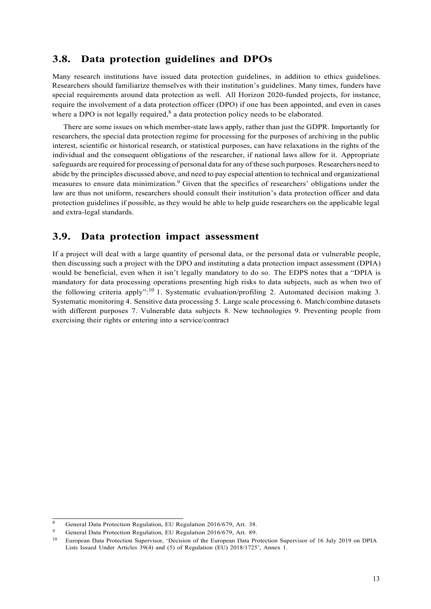# **3.8. Data protection guidelines and DPOs**

Many research institutions have issued data protection guidelines, in addition to ethics guidelines. Researchers should familiarize themselves with their institution's guidelines. Many times, funders have special requirements around data protection as well. All Horizon 2020-funded projects, for instance, require the involvement of a data protection officer (DPO) if one has been appointed, and even in cases where a DPO is not legally required,<sup>8</sup> a data protection policy needs to be elaborated.

There are some issues on which member-state laws apply, rather than just the GDPR. Importantly for researchers, the special data protection regime for processing for the purposes of archiving in the public interest, scientific or historical research, or statistical purposes, can have relaxations in the rights of the individual and the consequent obligations of the researcher, if national laws allow for it. Appropriate safeguards are required for processing of personal data for any ofthese such purposes. Researchers need to abide by the principles discussed above, and need to pay especial attention to technical and organizational measures to ensure data minimization.<sup>9</sup> Given that the specifics of researchers' obligations under the law are thus not uniform, researchers should consult their institution's data protection officer and data protection guidelines if possible, as they would be able to help guide researchers on the applicable legal and extra-legal standards.

## **3.9. Data protection impact assessment**

If a project will deal with a large quantity of personal data, or the personal data or vulnerable people, then discussing such a project with the DPO and instituting a data protection impact assessment (DPIA) would be beneficial, even when it isn't legally mandatory to do so. The EDPS notes that a "DPIA is mandatory for data processing operations presenting high risks to data subjects, such as when two of the following criteria apply":<sup>10</sup> 1. Systematic evaluation/profiling 2. Automated decision making 3. Systematic monitoring 4. Sensitive data processing 5. Large scale processing 6. Match/combine datasets with different purposes 7. Vulnerable data subjects 8. New technologies 9. Preventing people from exercising their rights or entering into a service/contract

<sup>8</sup> General Data Protection Regulation, EU Regulation 2016/679, Art. 38.

<sup>9</sup> General Data Protection Regulation, EU Regulation 2016/679, Art. 89.

<sup>&</sup>lt;sup>10</sup> European Data Protection Supervisor, 'Decision of the European Data Protection Supervisor of 16 July 2019 on DPIA Lists Issued Under Articles 39(4) and (5) of Regulation (EU) 2018/1725', Annex 1.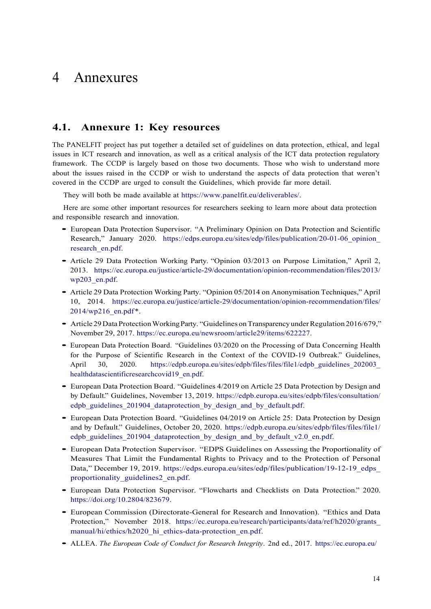# 4 Annexures

#### **4.1. Annexure 1: Key resources**

The PANELFIT project has put together a detailed set of guidelines on data protection, ethical, and legal issues in ICT research and innovation, as well as a critical analysis of the ICT data protection regulatory framework. The CCDP is largely based on those two documents. Those who wish to understand more about the issues raised in the CCDP or wish to understand the aspects of data protection that weren't covered in the CCDP are urged to consult the Guidelines, which provide far more detail.

They will both be made available at https://www.panelfit.eu/deliverables/.

Here are some other important resources for researchers seeking to learn more about data protection and responsible research and innovation.

- European Data Protection Supervisor. "A Preliminary Opinion on Data Protection and Scientific Research," January 2020. https://edps.europa.eu/sites/edp/files/publication/20-01-06\_opinion\_ research\_en.pdf.
- Article <sup>29</sup> Data Protection Working Party. "Opinion 03/2013 on Purpose Limitation," April 2, 2013. https://ec.europa.eu/justice/article-29/documentation/opinion-recommendation/files/2013/ wp203\_en.pdf.
- Article <sup>29</sup> Data Protection Working Party. "Opinion 05/2014 on Anonymisation Techniques," April 10, 2014. https://ec.europa.eu/justice/article-29/documentation/opinion-recommendation/files/ 2014/wp216\_en.pdf\*.
- Article 29 Data Protection Working Party. "Guidelines on Transparency under Regulation 2016/679," November 29, 2017. https://ec.europa.eu/newsroom/article29/items/622227.
- European Data Protection Board. "Guidelines 03/2020 on the Processing of Data Concerning Health for the Purpose of Scientific Research in the Context of the COVID-19 Outbreak." Guidelines, April 30, 2020. https://edpb.europa.eu/sites/edpb/files/files/file1/edpb\_guidelines\_202003\_ healthdatascientificresearchcovid19\_en.pdf.
- European Data Protection Board. "Guidelines 4/2019 on Article <sup>25</sup> Data Protection by Design and by Default." Guidelines, November 13, 2019. https://edpb.europa.eu/sites/edpb/files/consultation/ edpb\_guidelines\_201904\_dataprotection\_by\_design\_and\_by\_default.pdf.
- European Data Protection Board. "Guidelines 04/2019 on Article 25: Data Protection by Design and by Default." Guidelines, October 20, 2020. https://edpb.europa.eu/sites/edpb/files/files/file1/ edpb\_guidelines\_201904\_dataprotection\_by\_design\_and\_by\_default\_v2.0\_en.pdf.
- European Data Protection Supervisor. "EDPS Guidelines on Assessing the Proportionality of Measures That Limit the Fundamental Rights to Privacy and to the Protection of Personal Data," December 19, 2019. https://edps.europa.eu/sites/edp/files/publication/19-12-19 edps proportionality\_guidelines2\_en.pdf.
- European Data Protection Supervisor. "Flowcharts and Checklists on Data Protection." 2020. https://doi.org/10.2804/823679.
- European Commission (Directorate-General for Research and Innovation). "Ethics and Data Protection," November 2018. https://ec.europa.eu/research/participants/data/ref/h2020/grants\_ manual/hi/ethics/h2020\_hi\_ethics-data-protection\_en.pdf.
- ALLEA. *The European Code of Conduct for Research Integrity*. 2nd ed., 2017. https://ec.europa.eu/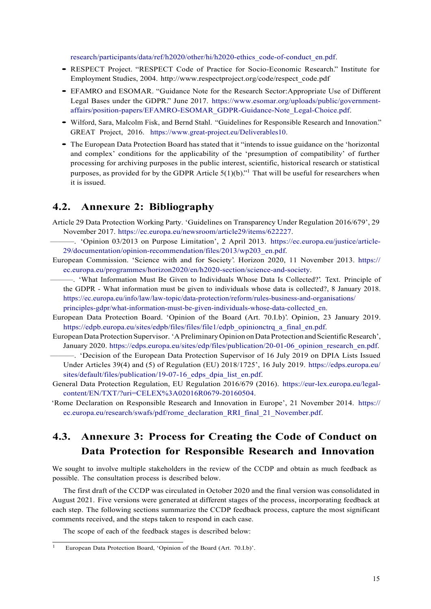research/participants/data/ref/h2020/other/hi/h2020-ethics\_code-of-conduct\_en.pdf.

- RESPECT Project. "RESPECT Code of Practice for Socio-Economic Research." Institute for Employment Studies, 2004. http://www.respectproject.org/code/respect\_code.pdf
- EFAMRO and ESOMAR. "Guidance Note for the Research Sector:Appropriate Use of Different Legal Bases under the GDPR." June 2017. https://www.esomar.org/uploads/public/governmentaffairs/position-papers/EFAMRO-ESOMAR\_GDPR-Guidance-Note\_Legal-Choice.pdf.
- Wilford, Sara, Malcolm Fisk, and Bernd Stahl. "Guidelines for Responsible Research and Innovation." GREAT Project, 2016. https://www.great-project.eu/Deliverables10.
- The European Data Protection Board has stated that it "intends to issue guidance on the 'horizontal and complex' conditions for the applicability of the 'presumption of compatibility' of further processing for archiving purposes in the public interest, scientific, historical research or statistical purposes, as provided for by the GDPR Article  $5(1)(b)$ ." That will be useful for researchers when it is issued.

## **4.2. Annexure 2: Bibliography**

- Article 29 Data Protection Working Party. 'Guidelines on Transparency Under Regulation 2016/679', 29 November 2017. https://ec.europa.eu/newsroom/article29/items/622227.
- ———. 'Opinion 03/2013 on Purpose Limitation', 2 April 2013. https://ec.europa.eu/justice/article-29/documentation/opinion-recommendation/files/2013/wp203\_en.pdf.
- European Commission. 'Science with and for Society'. Horizon 2020, 11 November 2013. https:// ec.europa.eu/programmes/horizon2020/en/h2020-section/science-and-society.
	- ———. 'What Information Must Be Given to Individuals Whose Data Is Collected?'. Text. Principle of the GDPR - What information must be given to individuals whose data is collected?, 8 January 2018. https://ec.europa.eu/info/law/law-topic/data-protection/reform/rules-business-and-organisations/

principles-gdpr/what-information-must-be-given-individuals-whose-data-collected\_en.

- European Data Protection Board. 'Opinion of the Board (Art. 70.I.b)'. Opinion, 23 January 2019. https://edpb.europa.eu/sites/edpb/files/files/file1/edpb\_opinionctrq\_a\_final\_en.pdf.
- European Data Protection Supervisor. 'A Preliminary Opinion on Data Protection and Scientific Research', January 2020. https://edps.europa.eu/sites/edp/files/publication/20-01-06 opinion research en.pdf.
- ———. 'Decision of the European Data Protection Supervisor of 16 July 2019 on DPIA Lists Issued Under Articles 39(4) and (5) of Regulation (EU) 2018/1725', 16 July 2019. https://edps.europa.eu/ sites/default/files/publication/19-07-16 edps dpia list en.pdf.
- General Data Protection Regulation, EU Regulation 2016/679 (2016). https://eur-lex.europa.eu/legalcontent/EN/TXT/?uri=CELEX%3A02016R0679-20160504.
- 'Rome Declaration on Responsible Research and Innovation in Europe', 21 November 2014. https:// ec.europa.eu/research/swafs/pdf/rome\_declaration\_RRI\_final\_21\_November.pdf.

# **4.3. Annexure 3: Process for Creating the Code of Conduct on Data Protection for Responsible Research and Innovation**

We sought to involve multiple stakeholders in the review of the CCDP and obtain as much feedback as possible. The consultation process is described below.

The first draft of the CCDP was circulated in October 2020 and the final version was consolidated in August 2021. Five versions were generated at different stages of the process, incorporating feedback at each step. The following sections summarize the CCDP feedback process, capture the most significant comments received, and the steps taken to respond in each case.

The scope of each of the feedback stages is described below:

<sup>1</sup> European Data Protection Board, 'Opinion of the Board (Art. 70.I.b)'.